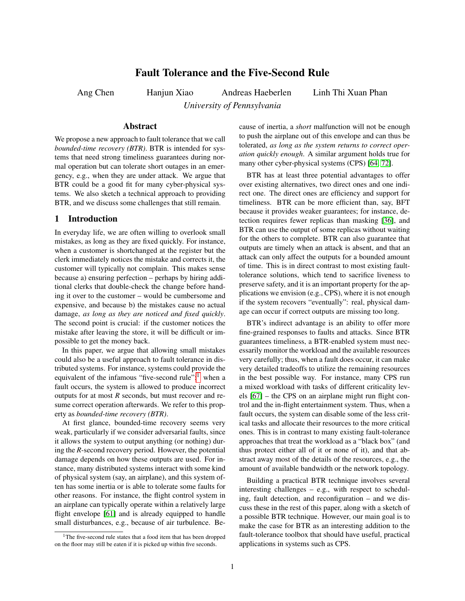# Fault Tolerance and the Five-Second Rule

Ang Chen Hanjun Xiao Andreas Haeberlen Linh Thi Xuan Phan

*University of Pennsylvania*

#### Abstract

We propose a new approach to fault tolerance that we call *bounded-time recovery (BTR)*. BTR is intended for systems that need strong timeliness guarantees during normal operation but can tolerate short outages in an emergency, e.g., when they are under attack. We argue that BTR could be a good fit for many cyber-physical systems. We also sketch a technical approach to providing BTR, and we discuss some challenges that still remain.

# 1 Introduction

In everyday life, we are often willing to overlook small mistakes, as long as they are fixed quickly. For instance, when a customer is shortchanged at the register but the clerk immediately notices the mistake and corrects it, the customer will typically not complain. This makes sense because a) ensuring perfection – perhaps by hiring additional clerks that double-check the change before handing it over to the customer – would be cumbersome and expensive, and because b) the mistakes cause no actual damage, *as long as they are noticed and fixed quickly*. The second point is crucial: if the customer notices the mistake after leaving the store, it will be difficult or impossible to get the money back.

In this paper, we argue that allowing small mistakes could also be a useful approach to fault tolerance in distributed systems. For instance, systems could provide the equivalent of the infamous "five-second rule":<sup>[1](#page-0-0)</sup> when a fault occurs, the system is allowed to produce incorrect outputs for at most *R* seconds, but must recover and resume correct operation afterwards. We refer to this property as *bounded-time recovery (BTR)*.

At first glance, bounded-time recovery seems very weak, particularly if we consider adversarial faults, since it allows the system to output anything (or nothing) during the *R*-second recovery period. However, the potential damage depends on how these outputs are used. For instance, many distributed systems interact with some kind of physical system (say, an airplane), and this system often has some inertia or is able to tolerate some faults for other reasons. For instance, the flight control system in an airplane can typically operate within a relatively large flight envelope [\[61\]](#page-6-0) and is already equipped to handle small disturbances, e.g., because of air turbulence. Because of inertia, a *short* malfunction will not be enough to push the airplane out of this envelope and can thus be tolerated, *as long as the system returns to correct operation quickly enough*. A similar argument holds true for many other cyber-physical systems (CPS) [\[64,](#page-6-1) [72\]](#page-6-2).

BTR has at least three potential advantages to offer over existing alternatives, two direct ones and one indirect one. The direct ones are efficiency and support for timeliness. BTR can be more efficient than, say, BFT because it provides weaker guarantees; for instance, detection requires fewer replicas than masking [\[36\]](#page-5-0), and BTR can use the output of some replicas without waiting for the others to complete. BTR can also guarantee that outputs are timely when an attack is absent, and that an attack can only affect the outputs for a bounded amount of time. This is in direct contrast to most existing faulttolerance solutions, which tend to sacrifice liveness to preserve safety, and it is an important property for the applications we envision (e.g., CPS), where it is not enough if the system recovers "eventually": real, physical damage can occur if correct outputs are missing too long.

BTR's indirect advantage is an ability to offer more fine-grained responses to faults and attacks. Since BTR guarantees timeliness, a BTR-enabled system must necessarily monitor the workload and the available resources very carefully; thus, when a fault does occur, it can make very detailed tradeoffs to utilize the remaining resources in the best possible way. For instance, many CPS run a mixed workload with tasks of different criticality levels [\[67\]](#page-6-3) – the CPS on an airplane might run flight control and the in-flight entertainment system. Thus, when a fault occurs, the system can disable some of the less critical tasks and allocate their resources to the more critical ones. This is in contrast to many existing fault-tolerance approaches that treat the workload as a "black box" (and thus protect either all of it or none of it), and that abstract away most of the details of the resources, e.g., the amount of available bandwidth or the network topology.

Building a practical BTR technique involves several interesting challenges – e.g., with respect to scheduling, fault detection, and reconfiguration – and we discuss these in the rest of this paper, along with a sketch of a possible BTR technique. However, our main goal is to make the case for BTR as an interesting addition to the fault-tolerance toolbox that should have useful, practical applications in systems such as CPS.

<span id="page-0-0"></span><sup>&</sup>lt;sup>1</sup>The five-second rule states that a food item that has been dropped on the floor may still be eaten if it is picked up within five seconds.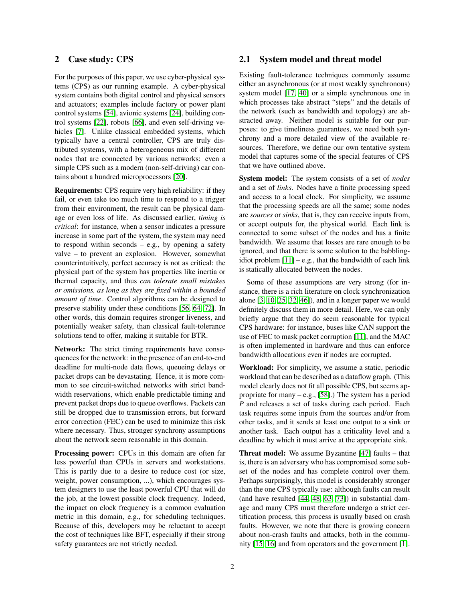# 2 Case study: CPS

For the purposes of this paper, we use cyber-physical systems (CPS) as our running example. A cyber-physical system contains both digital control and physical sensors and actuators; examples include factory or power plant control systems [\[54\]](#page-6-4), avionic systems [\[24\]](#page-5-1), building control systems [\[22\]](#page-5-2), robots [\[66\]](#page-6-5), and even self-driving vehicles [\[7\]](#page-5-3). Unlike classical embedded systems, which typically have a central controller, CPS are truly distributed systems, with a heterogeneous mix of different nodes that are connected by various networks: even a simple CPS such as a modern (non-self-driving) car contains about a hundred microprocessors [\[20\]](#page-5-4).

Requirements: CPS require very high reliability: if they fail, or even take too much time to respond to a trigger from their environment, the result can be physical damage or even loss of life. As discussed earlier, *timing is critical*: for instance, when a sensor indicates a pressure increase in some part of the system, the system may need to respond within seconds – e.g., by opening a safety valve – to prevent an explosion. However, somewhat counterintuitively, perfect accuracy is not as critical: the physical part of the system has properties like inertia or thermal capacity, and thus *can tolerate small mistakes or omissions, as long as they are fixed within a bounded amount of time*. Control algorithms can be designed to preserve stability under these conditions [\[56,](#page-6-6) [64,](#page-6-1) [72\]](#page-6-2). In other words, this domain requires stronger liveness, and potentially weaker safety, than classical fault-tolerance solutions tend to offer, making it suitable for BTR.

Network: The strict timing requirements have consequences for the network: in the presence of an end-to-end deadline for multi-node data flows, queueing delays or packet drops can be devastating. Hence, it is more common to see circuit-switched networks with strict bandwidth reservations, which enable predictable timing and prevent packet drops due to queue overflows. Packets can still be dropped due to transmission errors, but forward error correction (FEC) can be used to minimize this risk where necessary. Thus, stronger synchrony assumptions about the network seem reasonable in this domain.

Processing power: CPUs in this domain are often far less powerful than CPUs in servers and workstations. This is partly due to a desire to reduce cost (or size, weight, power consumption, ...), which encourages system designers to use the least powerful CPU that will do the job, at the lowest possible clock frequency. Indeed, the impact on clock frequency is a common evaluation metric in this domain, e.g., for scheduling techniques. Because of this, developers may be reluctant to accept the cost of techniques like BFT, especially if their strong safety guarantees are not strictly needed.

# 2.1 System model and threat model

Existing fault-tolerance techniques commonly assume either an asynchronous (or at most weakly synchronous) system model [\[17,](#page-5-5) [40\]](#page-6-7) or a simple synchronous one in which processes take abstract "steps" and the details of the network (such as bandwidth and topology) are abstracted away. Neither model is suitable for our purposes: to give timeliness guarantees, we need both synchrony and a more detailed view of the available resources. Therefore, we define our own tentative system model that captures some of the special features of CPS that we have outlined above.

System model: The system consists of a set of *nodes* and a set of *links*. Nodes have a finite processing speed and access to a local clock. For simplicity, we assume that the processing speeds are all the same; some nodes are *sources* or *sinks*, that is, they can receive inputs from, or accept outputs for, the physical world. Each link is connected to some subset of the nodes and has a finite bandwidth. We assume that losses are rare enough to be ignored, and that there is some solution to the babblingidiot problem  $[11]$  – e.g., that the bandwidth of each link is statically allocated between the nodes.

Some of these assumptions are very strong (for instance, there is a rich literature on clock synchronization alone [\[3,](#page-5-7) [10,](#page-5-8) [25,](#page-5-9) [32,](#page-5-10) [46\]](#page-6-8)), and in a longer paper we would definitely discuss them in more detail. Here, we can only briefly argue that they do seem reasonable for typical CPS hardware: for instance, buses like CAN support the use of FEC to mask packet corruption [\[11\]](#page-5-6), and the MAC is often implemented in hardware and thus can enforce bandwidth allocations even if nodes are corrupted.

Workload: For simplicity, we assume a static, periodic workload that can be described as a dataflow graph. (This model clearly does not fit all possible CPS, but seems appropriate for many  $-$  e.g., [\[58\]](#page-6-9).) The system has a period *P* and releases a set of tasks during each period. Each task requires some inputs from the sources and/or from other tasks, and it sends at least one output to a sink or another task. Each output has a criticality level and a deadline by which it must arrive at the appropriate sink.

Threat model: We assume Byzantine [\[47\]](#page-6-10) faults – that is, there is an adversary who has compromised some subset of the nodes and has complete control over them. Perhaps surprisingly, this model is considerably stronger than the one CPS typically use: although faults can result (and have resulted [\[44,](#page-6-11) [48,](#page-6-12) [63,](#page-6-13) [73\]](#page-6-14)) in substantial damage and many CPS must therefore undergo a strict certification process, this process is usually based on crash faults. However, we note that there is growing concern about non-crash faults and attacks, both in the community [\[15,](#page-5-11) [16\]](#page-5-12) and from operators and the government [\[1\]](#page-5-13).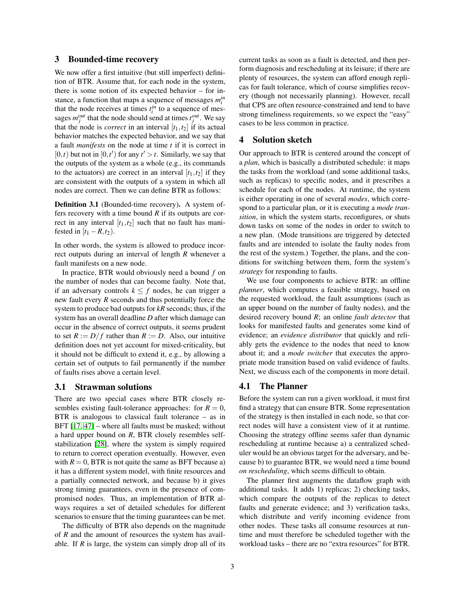## 3 Bounded-time recovery

We now offer a first intuitive (but still imperfect) definition of BTR. Assume that, for each node in the system, there is some notion of its expected behavior – for instance, a function that maps a sequence of messages *m in i* that the node receives at times  $t_i^{in}$  to a sequence of messages  $m_j^{out}$  that the node should send at times  $t_j^{out}$ . We say that the node is *correct* in an interval  $[t_1, t_2]$  if its actual behavior matches the expected behavior, and we say that a fault *manifests* on the node at time *t* if it is correct in  $[0,t)$  but not in  $[0,t')$  for any  $t' > t$ . Similarly, we say that the outputs of the system as a whole (e.g., its commands to the actuators) are correct in an interval  $[t_1, t_2]$  if they are consistent with the outputs of a system in which all nodes are correct. Then we can define BTR as follows:

Definition 3.1 (Bounded-time recovery). A system offers recovery with a time bound *R* if its outputs are correct in any interval  $[t_1, t_2]$  such that no fault has manifested in  $[t_1 - R, t_2]$ .

In other words, the system is allowed to produce incorrect outputs during an interval of length *R* whenever a fault manifests on a new node.

In practice, BTR would obviously need a bound *f* on the number of nodes that can become faulty. Note that, if an adversary controls  $k \leq f$  nodes, he can trigger a new fault every *R* seconds and thus potentially force the system to produce bad outputs for *kR* seconds; thus, if the system has an overall deadline *D* after which damage can occur in the absence of correct outputs, it seems prudent to set  $R := D/f$  rather than  $R := D$ . Also, our intuitive definition does not yet account for mixed-criticality, but it should not be difficult to extend it, e.g., by allowing a certain set of outputs to fail permanently if the number of faults rises above a certain level.

## 3.1 Strawman solutions

There are two special cases where BTR closely resembles existing fault-tolerance approaches: for  $R = 0$ , BTR is analogous to classical fault tolerance – as in BFT [\[17,](#page-5-5) [47\]](#page-6-10) – where all faults must be masked; without a hard upper bound on *R*, BTR closely resembles selfstabilization [\[28\]](#page-5-14), where the system is simply required to return to correct operation eventually. However, even with  $R = 0$ , BTR is not quite the same as BFT because a) it has a different system model, with finite resources and a partially connected network, and because b) it gives strong timing guarantees, even in the presence of compromised nodes. Thus, an implementation of BTR always requires a set of detailed schedules for different scenarios to ensure that the timing guarantees can be met.

The difficulty of BTR also depends on the magnitude of *R* and the amount of resources the system has available. If *R* is large, the system can simply drop all of its current tasks as soon as a fault is detected, and then perform diagnosis and rescheduling at its leisure; if there are plenty of resources, the system can afford enough replicas for fault tolerance, which of course simplifies recovery (though not necessarily planning). However, recall that CPS are often resource-constrained and tend to have strong timeliness requirements, so we expect the "easy" cases to be less common in practice.

#### 4 Solution sketch

Our approach to BTR is centered around the concept of a *plan*, which is basically a distributed schedule: it maps the tasks from the workload (and some additional tasks, such as replicas) to specific nodes, and it prescribes a schedule for each of the nodes. At runtime, the system is either operating in one of several *modes*, which correspond to a particular plan, or it is executing a *mode transition*, in which the system starts, reconfigures, or shuts down tasks on some of the nodes in order to switch to a new plan. (Mode transitions are triggered by detected faults and are intended to isolate the faulty nodes from the rest of the system.) Together, the plans, and the conditions for switching between them, form the system's *strategy* for responding to faults.

We use four components to achieve BTR: an offline *planner*, which computes a feasible strategy, based on the requested workload, the fault assumptions (such as an upper bound on the number of faulty nodes), and the desired recovery bound *R*; an online *fault detector* that looks for manifested faults and generates some kind of evidence; an *evidence distributor* that quickly and reliably gets the evidence to the nodes that need to know about it; and a *mode switcher* that executes the appropriate mode transition based on valid evidence of faults. Next, we discuss each of the components in more detail.

### 4.1 The Planner

Before the system can run a given workload, it must first find a strategy that can ensure BTR. Some representation of the strategy is then installed in each node, so that correct nodes will have a consistent view of it at runtime. Choosing the strategy offline seems safer than dynamic rescheduling at runtime because a) a centralized scheduler would be an obvious target for the adversary, and because b) to guarantee BTR, we would need a time bound *on rescheduling*, which seems difficult to obtain.

The planner first augments the dataflow graph with additional tasks. It adds 1) replicas; 2) checking tasks, which compare the outputs of the replicas to detect faults and generate evidence; and 3) verification tasks, which distribute and verify incoming evidence from other nodes. These tasks all consume resources at runtime and must therefore be scheduled together with the workload tasks – there are no "extra resources" for BTR.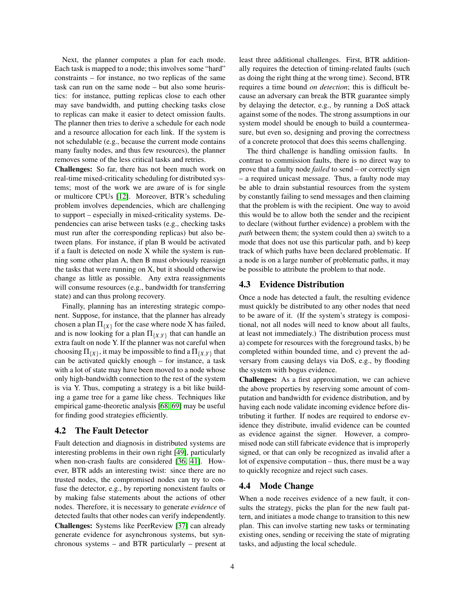Next, the planner computes a plan for each mode. Each task is mapped to a node; this involves some "hard" constraints – for instance, no two replicas of the same task can run on the same node – but also some heuristics: for instance, putting replicas close to each other may save bandwidth, and putting checking tasks close to replicas can make it easier to detect omission faults. The planner then tries to derive a schedule for each node and a resource allocation for each link. If the system is not schedulable (e.g., because the current mode contains many faulty nodes, and thus few resources), the planner removes some of the less critical tasks and retries.

Challenges: So far, there has not been much work on real-time mixed-criticality scheduling for distributed systems; most of the work we are aware of is for single or multicore CPUs [\[12\]](#page-5-15). Moreover, BTR's scheduling problem involves dependencies, which are challenging to support – especially in mixed-criticality systems. Dependencies can arise between tasks (e.g., checking tasks must run after the corresponding replicas) but also between plans. For instance, if plan B would be activated if a fault is detected on node X while the system is running some other plan A, then B must obviously reassign the tasks that were running on X, but it should otherwise change as little as possible. Any extra reassignments will consume resources (e.g., bandwidth for transferring state) and can thus prolong recovery.

Finally, planning has an interesting strategic component. Suppose, for instance, that the planner has already chosen a plan  $\Pi_{\{X\}}$  for the case where node X has failed, and is now looking for a plan  $\Pi_{\{X,Y\}}$  that can handle an extra fault on node Y. If the planner was not careful when choosing  $\Pi_{\{X\}}$ , it may be impossible to find a  $\Pi_{\{X,Y\}}$  that can be activated quickly enough – for instance, a task with a lot of state may have been moved to a node whose only high-bandwidth connection to the rest of the system is via Y. Thus, computing a strategy is a bit like building a game tree for a game like chess. Techniques like empirical game-theoretic analysis [\[68,](#page-6-15) [69\]](#page-6-16) may be useful for finding good strategies efficiently.

## 4.2 The Fault Detector

Fault detection and diagnosis in distributed systems are interesting problems in their own right [\[49\]](#page-6-17), particularly when non-crash faults are considered [\[36,](#page-5-0) [41\]](#page-6-18). However, BTR adds an interesting twist: since there are no trusted nodes, the compromised nodes can try to confuse the detector, e.g., by reporting nonexistent faults or by making false statements about the actions of other nodes. Therefore, it is necessary to generate *evidence* of detected faults that other nodes can verify independently. Challenges: Systems like PeerReview [\[37\]](#page-5-16) can already generate evidence for asynchronous systems, but synchronous systems – and BTR particularly – present at least three additional challenges. First, BTR additionally requires the detection of timing-related faults (such as doing the right thing at the wrong time). Second, BTR requires a time bound *on detection*; this is difficult because an adversary can break the BTR guarantee simply by delaying the detector, e.g., by running a DoS attack against some of the nodes. The strong assumptions in our system model should be enough to build a countermeasure, but even so, designing and proving the correctness of a concrete protocol that does this seems challenging.

The third challenge is handling omission faults. In contrast to commission faults, there is no direct way to prove that a faulty node *failed* to send – or correctly sign – a required unicast message. Thus, a faulty node may be able to drain substantial resources from the system by constantly failing to send messages and then claiming that the problem is with the recipient. One way to avoid this would be to allow both the sender and the recipient to declare (without further evidence) a problem with the *path* between them; the system could then a) switch to a mode that does not use this particular path, and b) keep track of which paths have been declared problematic. If a node is on a large number of problematic paths, it may be possible to attribute the problem to that node.

# 4.3 Evidence Distribution

Once a node has detected a fault, the resulting evidence must quickly be distributed to any other nodes that need to be aware of it. (If the system's strategy is compositional, not all nodes will need to know about all faults, at least not immediately.) The distribution process must a) compete for resources with the foreground tasks, b) be completed within bounded time, and c) prevent the adversary from causing delays via DoS, e.g., by flooding the system with bogus evidence.

Challenges: As a first approximation, we can achieve the above properties by reserving some amount of computation and bandwidth for evidence distribution, and by having each node validate incoming evidence before distributing it further. If nodes are required to endorse evidence they distribute, invalid evidence can be counted as evidence against the signer. However, a compromised node can still fabricate evidence that is improperly signed, or that can only be recognized as invalid after a lot of expensive computation – thus, there must be a way to quickly recognize and reject such cases.

# 4.4 Mode Change

When a node receives evidence of a new fault, it consults the strategy, picks the plan for the new fault pattern, and initiates a mode change to transition to this new plan. This can involve starting new tasks or terminating existing ones, sending or receiving the state of migrating tasks, and adjusting the local schedule.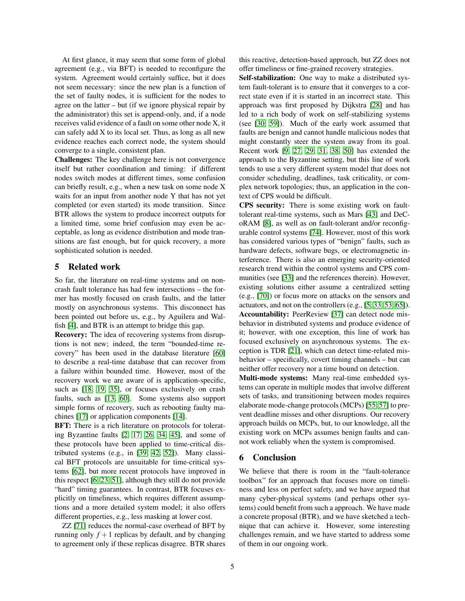At first glance, it may seem that some form of global agreement (e.g., via BFT) is needed to reconfigure the system. Agreement would certainly suffice, but it does not seem necessary: since the new plan is a function of the set of faulty nodes, it is sufficient for the nodes to agree on the latter – but (if we ignore physical repair by the administrator) this set is append-only, and, if a node receives valid evidence of a fault on some other node X, it can safely add X to its local set. Thus, as long as all new evidence reaches each correct node, the system should converge to a single, consistent plan.

Challenges: The key challenge here is not convergence itself but rather coordination and timing: if different nodes switch modes at different times, some confusion can briefly result, e.g., when a new task on some node X waits for an input from another node Y that has not yet completed (or even started) its mode transition. Since BTR allows the system to produce incorrect outputs for a limited time, some brief confusion may even be acceptable, as long as evidence distribution and mode transitions are fast enough, but for quick recovery, a more sophisticated solution is needed.

# 5 Related work

So far, the literature on real-time systems and on noncrash fault tolerance has had few intersections – the former has mostly focused on crash faults, and the latter mostly on asynchronous systems. This disconnect has been pointed out before us, e.g., by Aguilera and Walfish [\[4\]](#page-5-17), and BTR is an attempt to bridge this gap.

Recovery: The idea of recovering systems from disruptions is not new; indeed, the term "bounded-time recovery" has been used in the database literature [\[60\]](#page-6-19) to describe a real-time database that can recover from a failure within bounded time. However, most of the recovery work we are aware of is application-specific, such as [\[18,](#page-5-18) [19,](#page-5-19) [35\]](#page-5-20), or focuses exclusively on crash faults, such as [\[13,](#page-5-21) [60\]](#page-6-19). Some systems also support simple forms of recovery, such as rebooting faulty machines [\[17\]](#page-5-5) or application components [\[14\]](#page-5-22).

BFT: There is a rich literature on protocols for tolerating Byzantine faults [\[2,](#page-5-23) [17,](#page-5-5) [26,](#page-5-24) [34,](#page-5-25) [45\]](#page-6-20), and some of these protocols have been applied to time-critical distributed systems (e.g., in [\[39,](#page-6-21) [42,](#page-6-22) [52\]](#page-6-23)). Many classical BFT protocols are unsuitable for time-critical systems [\[62\]](#page-6-24), but more recent protocols have improved in this respect [\[6,](#page-5-26) [23,](#page-5-27) [51\]](#page-6-25), although they still do not provide "hard" timing guarantees. In contrast, BTR focuses explicitly on timeliness, which requires different assumptions and a more detailed system model; it also offers different properties, e.g., less masking at lower cost.

ZZ [\[71\]](#page-6-26) reduces the normal-case overhead of BFT by running only  $f + 1$  replicas by default, and by changing to agreement only if these replicas disagree. BTR shares this reactive, detection-based approach, but ZZ does not offer timeliness or fine-grained recovery strategies.

Self-stabilization: One way to make a distributed system fault-tolerant is to ensure that it converges to a correct state even if it is started in an incorrect state. This approach was first proposed by Dijkstra [\[28\]](#page-5-14) and has led to a rich body of work on self-stabilizing systems (see [\[30,](#page-5-28) [59\]](#page-6-27)). Much of the early work assumed that faults are benign and cannot handle malicious nodes that might constantly steer the system away from its goal. Recent work [\[9,](#page-5-29) [27,](#page-5-30) [29,](#page-5-31) [31,](#page-5-32) [38,](#page-5-33) [50\]](#page-6-28) has extended the approach to the Byzantine setting, but this line of work tends to use a very different system model that does not consider scheduling, deadlines, task criticality, or complex network topologies; thus, an application in the context of CPS would be difficult.

CPS security: There is some existing work on faulttolerant real-time systems, such as Mars [\[43\]](#page-6-29) and DeCoRAM [\[8\]](#page-5-34), as well as on fault-tolerant and/or reconfigurable control systems [\[74\]](#page-6-30). However, most of this work has considered various types of "benign" faults, such as hardware defects, software bugs, or electromagnetic interference. There is also an emerging security-oriented research trend within the control systems and CPS communities (see [\[33\]](#page-5-35) and the references therein). However, existing solutions either assume a centralized setting (e.g., [\[70\]](#page-6-31)) or focus more on attacks on the sensors and actuators, and not on the controllers (e.g., [\[5,](#page-5-36) [33,](#page-5-35) [53,](#page-6-32) [65\]](#page-6-33)). Accountability: PeerReview [\[37\]](#page-5-16) can detect node misbehavior in distributed systems and produce evidence of it; however, with one exception, this line of work has focused exclusively on asynchronous systems. The exception is TDR [\[21\]](#page-5-37), which can detect time-related misbehavior – specifically, covert timing channels – but can neither offer recovery nor a time bound on detection.

Multi-mode systems: Many real-time embedded systems can operate in multiple modes that involve different sets of tasks, and transitioning between modes requires elaborate mode-change protocols (MCPs) [\[55,](#page-6-34) [57\]](#page-6-35) to prevent deadline misses and other disruptions. Our recovery approach builds on MCPs, but, to our knowledge, all the existing work on MCPs assumes benign faults and cannot work reliably when the system is compromised.

# 6 Conclusion

We believe that there is room in the "fault-tolerance toolbox" for an approach that focuses more on timeliness and less on perfect safety, and we have argued that many cyber-physical systems (and perhaps other systems) could benefit from such a approach. We have made a concrete proposal (BTR), and we have sketched a technique that can achieve it. However, some interesting challenges remain, and we have started to address some of them in our ongoing work.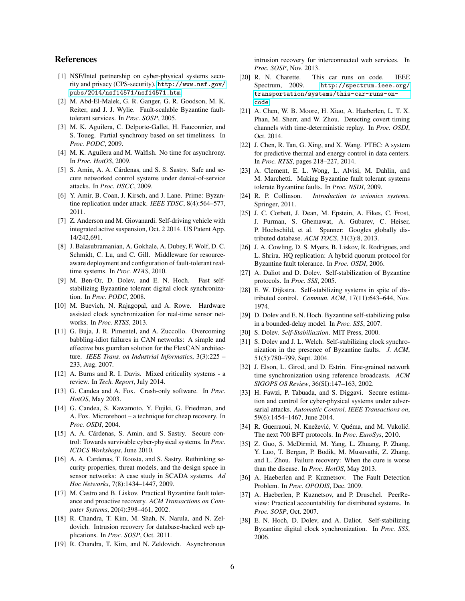# References

- <span id="page-5-13"></span>[1] NSF/Intel partnership on cyber-physical systems security and privacy (CPS-security). [http://www.nsf.gov/](http://www.nsf.gov/pubs/2014/nsf14571/nsf14571.htm) [pubs/2014/nsf14571/nsf14571.htm](http://www.nsf.gov/pubs/2014/nsf14571/nsf14571.htm).
- <span id="page-5-23"></span>[2] M. Abd-El-Malek, G. R. Ganger, G. R. Goodson, M. K. Reiter, and J. J. Wylie. Fault-scalable Byzantine faulttolerant services. In *Proc. SOSP*, 2005.
- <span id="page-5-7"></span>[3] M. K. Aguilera, C. Delporte-Gallet, H. Fauconnier, and S. Toueg. Partial synchrony based on set timeliness. In *Proc. PODC*, 2009.
- <span id="page-5-17"></span>[4] M. K. Aguilera and M. Walfish. No time for asynchrony. In *Proc. HotOS*, 2009.
- <span id="page-5-36"></span>[5] S. Amin, A. A. Cárdenas, and S. S. Sastry. Safe and secure networked control systems under denial-of-service attacks. In *Proc. HSCC*, 2009.
- <span id="page-5-26"></span>[6] Y. Amir, B. Coan, J. Kirsch, and J. Lane. Prime: Byzantine replication under attack. *IEEE TDSC*, 8(4):564–577, 2011.
- <span id="page-5-3"></span>[7] Z. Anderson and M. Giovanardi. Self-driving vehicle with integrated active suspension, Oct. 2 2014. US Patent App. 14/242,691.
- <span id="page-5-34"></span>[8] J. Balasubramanian, A. Gokhale, A. Dubey, F. Wolf, D. C. Schmidt, C. Lu, and C. Gill. Middleware for resourceaware deployment and configuration of fault-tolerant realtime systems. In *Proc. RTAS*, 2010.
- <span id="page-5-29"></span>[9] M. Ben-Or, D. Dolev, and E. N. Hoch. Fast selfstabilizing Byzantine tolerant digital clock synchronization. In *Proc. PODC*, 2008.
- <span id="page-5-8"></span>[10] M. Buevich, N. Rajagopal, and A. Rowe. Hardware assisted clock synchronization for real-time sensor networks. In *Proc. RTSS*, 2013.
- <span id="page-5-6"></span>[11] G. Buja, J. R. Pimentel, and A. Zuccollo. Overcoming babbling-idiot failures in CAN networks: A simple and effective bus guardian solution for the FlexCAN architecture. *IEEE Trans. on Industrial Informatics*, 3(3):225 – 233, Aug. 2007.
- <span id="page-5-15"></span>[12] A. Burns and R. I. Davis. Mixed criticality systems - a review. In *Tech. Report*, July 2014.
- <span id="page-5-21"></span>[13] G. Candea and A. Fox. Crash-only software. In *Proc. HotOS*, May 2003.
- <span id="page-5-22"></span>[14] G. Candea, S. Kawamoto, Y. Fujiki, G. Friedman, and A. Fox. Microreboot – a technique for cheap recovery. In *Proc. OSDI*, 2004.
- <span id="page-5-11"></span>[15] A. A. Cárdenas, S. Amin, and S. Sastry. Secure control: Towards survivable cyber-physical systems. In *Proc. ICDCS Workshops*, June 2010.
- <span id="page-5-12"></span>[16] A. A. Cardenas, T. Roosta, and S. Sastry. Rethinking security properties, threat models, and the design space in sensor networks: A case study in SCADA systems. *Ad Hoc Networks*, 7(8):1434–1447, 2009.
- <span id="page-5-5"></span>[17] M. Castro and B. Liskov. Practical Byzantine fault tolerance and proactive recovery. *ACM Transactions on Computer Systems*, 20(4):398–461, 2002.
- <span id="page-5-18"></span>[18] R. Chandra, T. Kim, M. Shah, N. Narula, and N. Zeldovich. Intrusion recovery for database-backed web applications. In *Proc. SOSP*, Oct. 2011.
- <span id="page-5-19"></span>[19] R. Chandra, T. Kim, and N. Zeldovich. Asynchronous

intrusion recovery for interconnected web services. In *Proc. SOSP*, Nov. 2013.

- <span id="page-5-4"></span>[20] R. N. Charette. This car runs on code. IEEE Spectrum, 2009. [http://spectrum.ieee.org/](http://spectrum.ieee.org/transportation/systems/this-car-runs-on-code) [transportation/systems/this-car-runs-on](http://spectrum.ieee.org/transportation/systems/this-car-runs-on-code)[code](http://spectrum.ieee.org/transportation/systems/this-car-runs-on-code).
- <span id="page-5-37"></span>[21] A. Chen, W. B. Moore, H. Xiao, A. Haeberlen, L. T. X. Phan, M. Sherr, and W. Zhou. Detecting covert timing channels with time-deterministic replay. In *Proc. OSDI*, Oct. 2014.
- <span id="page-5-2"></span>[22] J. Chen, R. Tan, G. Xing, and X. Wang. PTEC: A system for predictive thermal and energy control in data centers. In *Proc. RTSS*, pages 218–227, 2014.
- <span id="page-5-27"></span>[23] A. Clement, E. L. Wong, L. Alvisi, M. Dahlin, and M. Marchetti. Making Byzantine fault tolerant systems tolerate Byzantine faults. In *Proc. NSDI*, 2009.
- <span id="page-5-1"></span>[24] R. P. Collinson. *Introduction to avionics systems*. Springer, 2011.
- <span id="page-5-9"></span>[25] J. C. Corbett, J. Dean, M. Epstein, A. Fikes, C. Frost, J. Furman, S. Ghemawat, A. Gubarev, C. Heiser, P. Hochschild, et al. Spanner: Googles globally distributed database. *ACM TOCS*, 31(3):8, 2013.
- <span id="page-5-24"></span>[26] J. A. Cowling, D. S. Myers, B. Liskov, R. Rodrigues, and L. Shrira. HQ replication: A hybrid quorum protocol for Byzantine fault tolerance. In *Proc. OSDI*, 2006.
- <span id="page-5-30"></span>[27] A. Daliot and D. Dolev. Self-stabilization of Byzantine protocols. In *Proc. SSS*, 2005.
- <span id="page-5-14"></span>[28] E. W. Dijkstra. Self-stabilizing systems in spite of distributed control. *Commun. ACM*, 17(11):643–644, Nov. 1974.
- <span id="page-5-31"></span>[29] D. Dolev and E. N. Hoch. Byzantine self-stabilizing pulse in a bounded-delay model. In *Proc. SSS*, 2007.
- <span id="page-5-28"></span>[30] S. Dolev. *Self-Stabiliaztion*. MIT Press, 2000.
- <span id="page-5-32"></span>[31] S. Dolev and J. L. Welch. Self-stabilizing clock synchronization in the presence of Byzantine faults. *J. ACM*, 51(5):780–799, Sept. 2004.
- <span id="page-5-10"></span>[32] J. Elson, L. Girod, and D. Estrin. Fine-grained network time synchronization using reference broadcasts. *ACM SIGOPS OS Review*, 36(SI):147–163, 2002.
- <span id="page-5-35"></span>[33] H. Fawzi, P. Tabuada, and S. Diggavi. Secure estimation and control for cyber-physical systems under adversarial attacks. *Automatic Control, IEEE Transactions on*, 59(6):1454–1467, June 2014.
- <span id="page-5-25"></span>[34] R. Guerraoui, N. Knežević, V. Quéma, and M. Vukolić. The next 700 BFT protocols. In *Proc. EuroSys*, 2010.
- <span id="page-5-20"></span>[35] Z. Guo, S. McDirmid, M. Yang, L. Zhuang, P. Zhang, Y. Luo, T. Bergan, P. Bodik, M. Musuvathi, Z. Zhang, and L. Zhou. Failure recovery: When the cure is worse than the disease. In *Proc. HotOS*, May 2013.
- <span id="page-5-0"></span>[36] A. Haeberlen and P. Kuznetsov. The Fault Detection Problem. In *Proc. OPODIS*, Dec. 2009.
- <span id="page-5-16"></span>[37] A. Haeberlen, P. Kuznetsov, and P. Druschel. PeerReview: Practical accountability for distributed systems. In *Proc. SOSP*, Oct. 2007.
- <span id="page-5-33"></span>[38] E. N. Hoch, D. Dolev, and A. Daliot. Self-stabilizing Byzantine digital clock synchronization. In *Proc. SSS*, 2006.